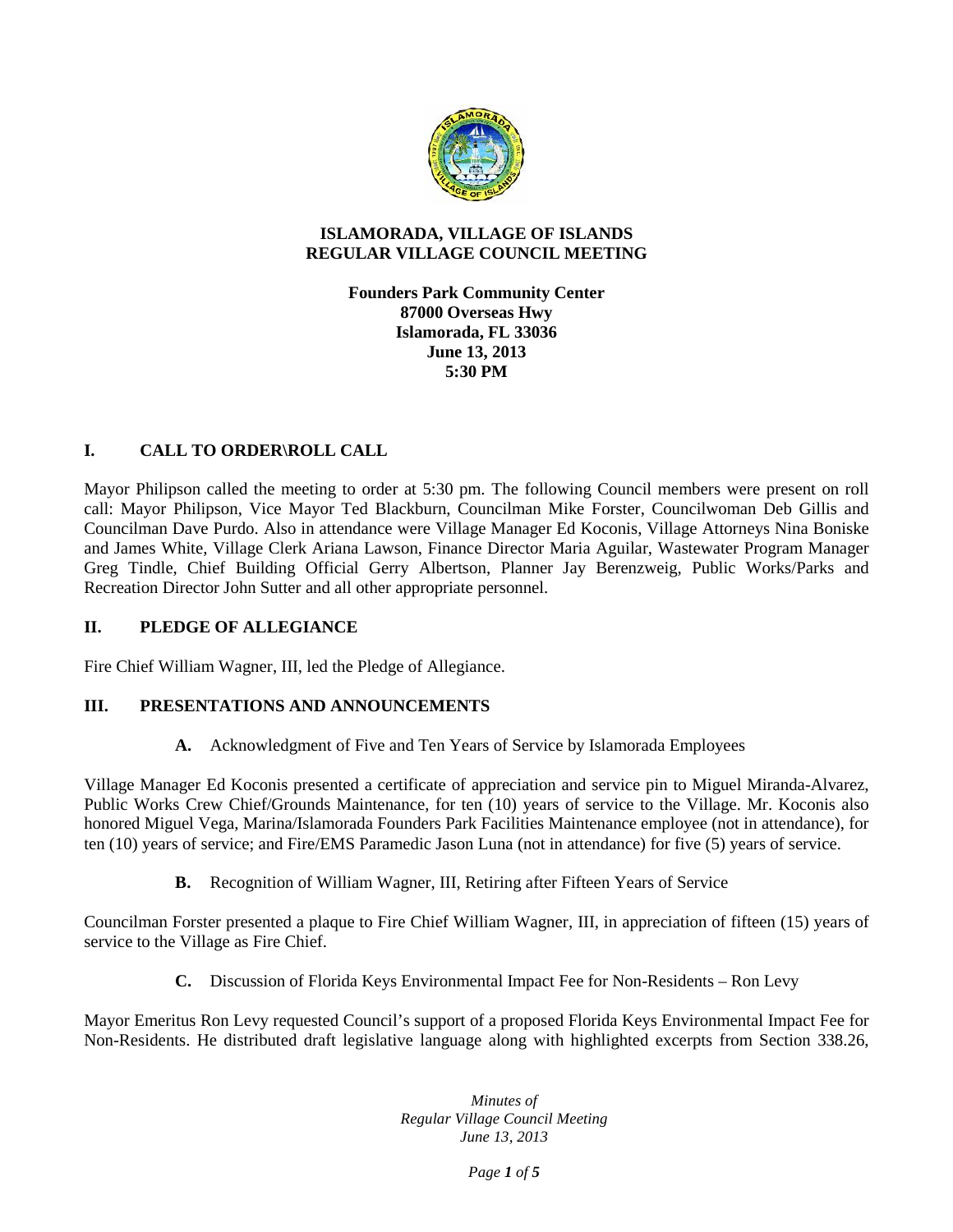

#### **ISLAMORADA, VILLAGE OF ISLANDS REGULAR VILLAGE COUNCIL MEETING**

**Founders Park Community Center 87000 Overseas Hwy Islamorada, FL 33036 June 13, 2013 5:30 PM**

# **I. CALL TO ORDER\ROLL CALL**

Mayor Philipson called the meeting to order at 5:30 pm. The following Council members were present on roll call: Mayor Philipson, Vice Mayor Ted Blackburn, Councilman Mike Forster, Councilwoman Deb Gillis and Councilman Dave Purdo. Also in attendance were Village Manager Ed Koconis, Village Attorneys Nina Boniske and James White, Village Clerk Ariana Lawson, Finance Director Maria Aguilar, Wastewater Program Manager Greg Tindle, Chief Building Official Gerry Albertson, Planner Jay Berenzweig, Public Works/Parks and Recreation Director John Sutter and all other appropriate personnel.

#### **II. PLEDGE OF ALLEGIANCE**

Fire Chief William Wagner, III, led the Pledge of Allegiance.

# **III. PRESENTATIONS AND ANNOUNCEMENTS**

**A.** Acknowledgment of Five and Ten Years of Service by Islamorada Employees

Village Manager Ed Koconis presented a certificate of appreciation and service pin to Miguel Miranda-Alvarez, Public Works Crew Chief/Grounds Maintenance, for ten (10) years of service to the Village. Mr. Koconis also honored Miguel Vega, Marina/Islamorada Founders Park Facilities Maintenance employee (not in attendance), for ten (10) years of service; and Fire/EMS Paramedic Jason Luna (not in attendance) for five (5) years of service.

**B.** Recognition of William Wagner, III, Retiring after Fifteen Years of Service

Councilman Forster presented a plaque to Fire Chief William Wagner, III, in appreciation of fifteen (15) years of service to the Village as Fire Chief.

**C.** Discussion of Florida Keys Environmental Impact Fee for Non-Residents – Ron Levy

Mayor Emeritus Ron Levy requested Council's support of a proposed Florida Keys Environmental Impact Fee for Non-Residents. He distributed draft legislative language along with highlighted excerpts from Section 338.26,

> *Minutes of Regular Village Council Meeting June 13, 2013*

> > *Page 1 of 5*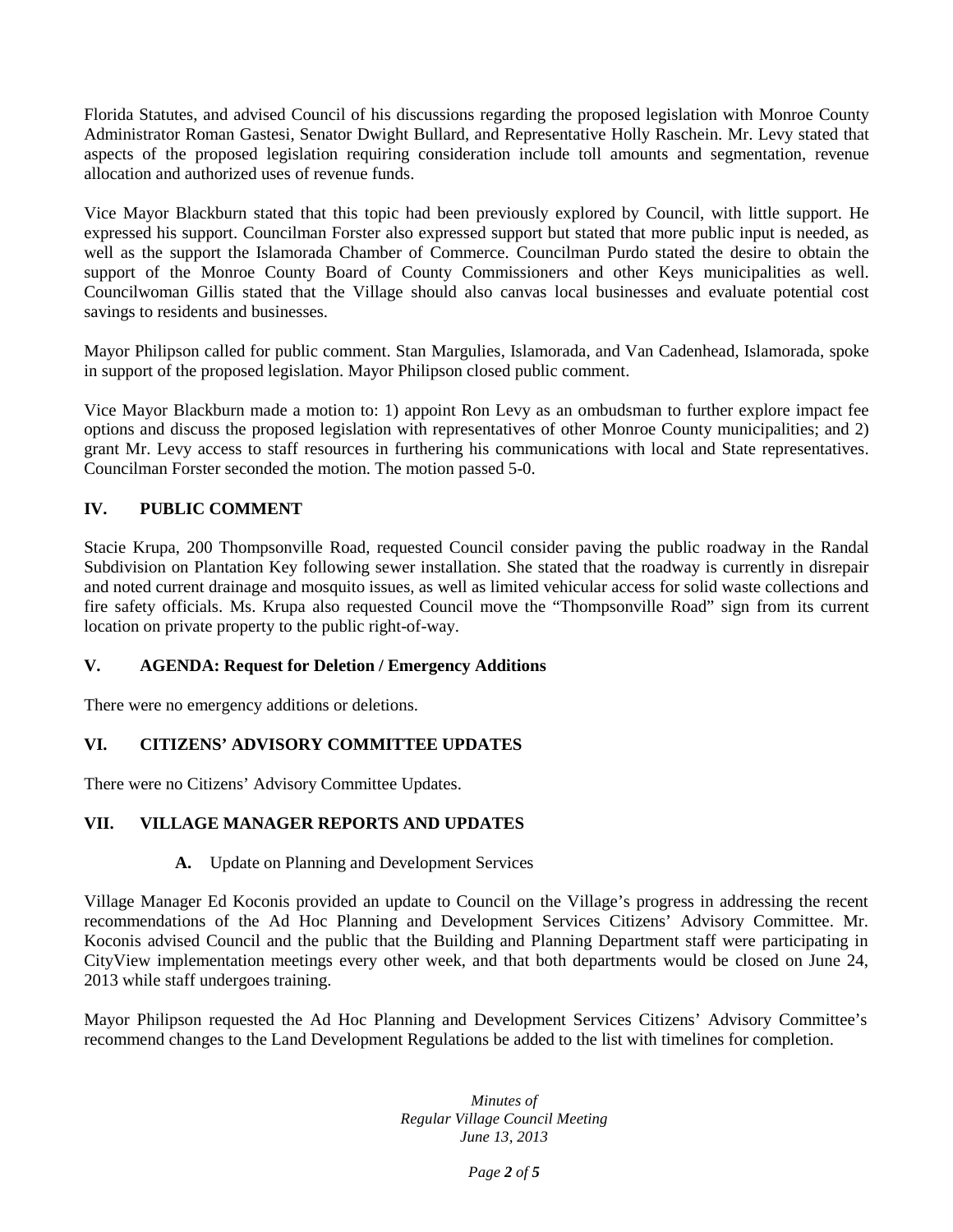Florida Statutes, and advised Council of his discussions regarding the proposed legislation with Monroe County Administrator Roman Gastesi, Senator Dwight Bullard, and Representative Holly Raschein. Mr. Levy stated that aspects of the proposed legislation requiring consideration include toll amounts and segmentation, revenue allocation and authorized uses of revenue funds.

Vice Mayor Blackburn stated that this topic had been previously explored by Council, with little support. He expressed his support. Councilman Forster also expressed support but stated that more public input is needed, as well as the support the Islamorada Chamber of Commerce. Councilman Purdo stated the desire to obtain the support of the Monroe County Board of County Commissioners and other Keys municipalities as well. Councilwoman Gillis stated that the Village should also canvas local businesses and evaluate potential cost savings to residents and businesses.

Mayor Philipson called for public comment. Stan Margulies, Islamorada, and Van Cadenhead, Islamorada, spoke in support of the proposed legislation. Mayor Philipson closed public comment.

Vice Mayor Blackburn made a motion to: 1) appoint Ron Levy as an ombudsman to further explore impact fee options and discuss the proposed legislation with representatives of other Monroe County municipalities; and 2) grant Mr. Levy access to staff resources in furthering his communications with local and State representatives. Councilman Forster seconded the motion. The motion passed 5-0.

# **IV. PUBLIC COMMENT**

Stacie Krupa, 200 Thompsonville Road, requested Council consider paving the public roadway in the Randal Subdivision on Plantation Key following sewer installation. She stated that the roadway is currently in disrepair and noted current drainage and mosquito issues, as well as limited vehicular access for solid waste collections and fire safety officials. Ms. Krupa also requested Council move the "Thompsonville Road" sign from its current location on private property to the public right-of-way.

# **V. AGENDA: Request for Deletion / Emergency Additions**

There were no emergency additions or deletions.

# **VI. CITIZENS' ADVISORY COMMITTEE UPDATES**

There were no Citizens' Advisory Committee Updates.

# **VII. VILLAGE MANAGER REPORTS AND UPDATES**

#### **A.** Update on Planning and Development Services

Village Manager Ed Koconis provided an update to Council on the Village's progress in addressing the recent recommendations of the Ad Hoc Planning and Development Services Citizens' Advisory Committee. Mr. Koconis advised Council and the public that the Building and Planning Department staff were participating in CityView implementation meetings every other week, and that both departments would be closed on June 24, 2013 while staff undergoes training.

Mayor Philipson requested the Ad Hoc Planning and Development Services Citizens' Advisory Committee's recommend changes to the Land Development Regulations be added to the list with timelines for completion.

> *Minutes of Regular Village Council Meeting June 13, 2013*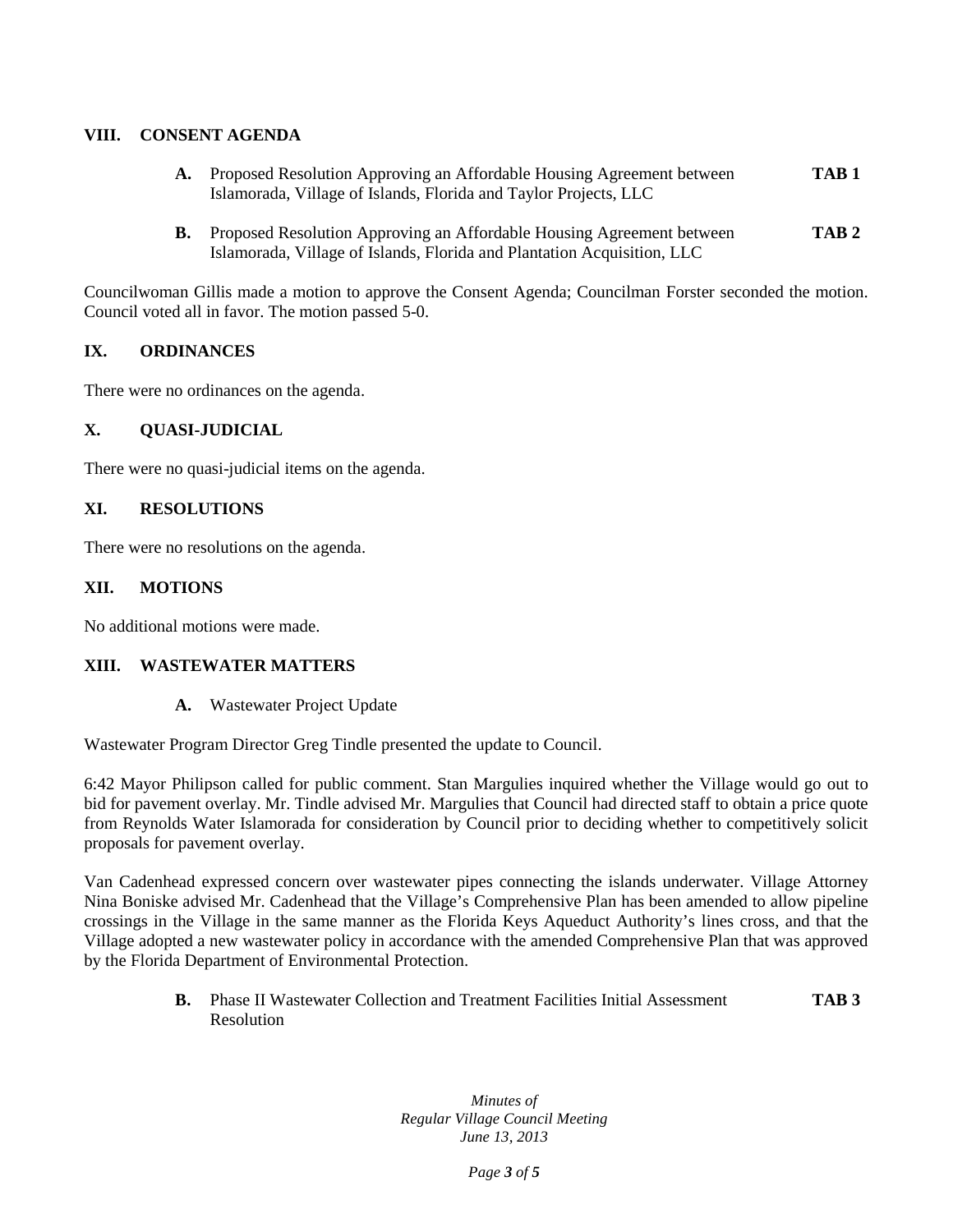### **VIII. CONSENT AGENDA**

- **A.** Proposed Resolution Approving an Affordable Housing Agreement between **TAB 1** Islamorada, Village of Islands, Florida and Taylor Projects, LLC
- **B.** Proposed Resolution Approving an Affordable Housing Agreement between **TAB 2** Islamorada, Village of Islands, Florida and Plantation Acquisition, LLC

Councilwoman Gillis made a motion to approve the Consent Agenda; Councilman Forster seconded the motion. Council voted all in favor. The motion passed 5-0.

# **IX. ORDINANCES**

There were no ordinances on the agenda.

#### **X. QUASI-JUDICIAL**

There were no quasi-judicial items on the agenda.

#### **XI. RESOLUTIONS**

There were no resolutions on the agenda.

#### **XII. MOTIONS**

No additional motions were made.

#### **XIII. WASTEWATER MATTERS**

**A.** Wastewater Project Update

Wastewater Program Director Greg Tindle presented the update to Council.

6:42 Mayor Philipson called for public comment. Stan Margulies inquired whether the Village would go out to bid for pavement overlay. Mr. Tindle advised Mr. Margulies that Council had directed staff to obtain a price quote from Reynolds Water Islamorada for consideration by Council prior to deciding whether to competitively solicit proposals for pavement overlay.

Van Cadenhead expressed concern over wastewater pipes connecting the islands underwater. Village Attorney Nina Boniske advised Mr. Cadenhead that the Village's Comprehensive Plan has been amended to allow pipeline crossings in the Village in the same manner as the Florida Keys Aqueduct Authority's lines cross, and that the Village adopted a new wastewater policy in accordance with the amended Comprehensive Plan that was approved by the Florida Department of Environmental Protection.

> **B.** Phase II Wastewater Collection and Treatment Facilities Initial Assessment **TAB 3** Resolution

> > *Minutes of Regular Village Council Meeting June 13, 2013*

> > > *Page 3 of 5*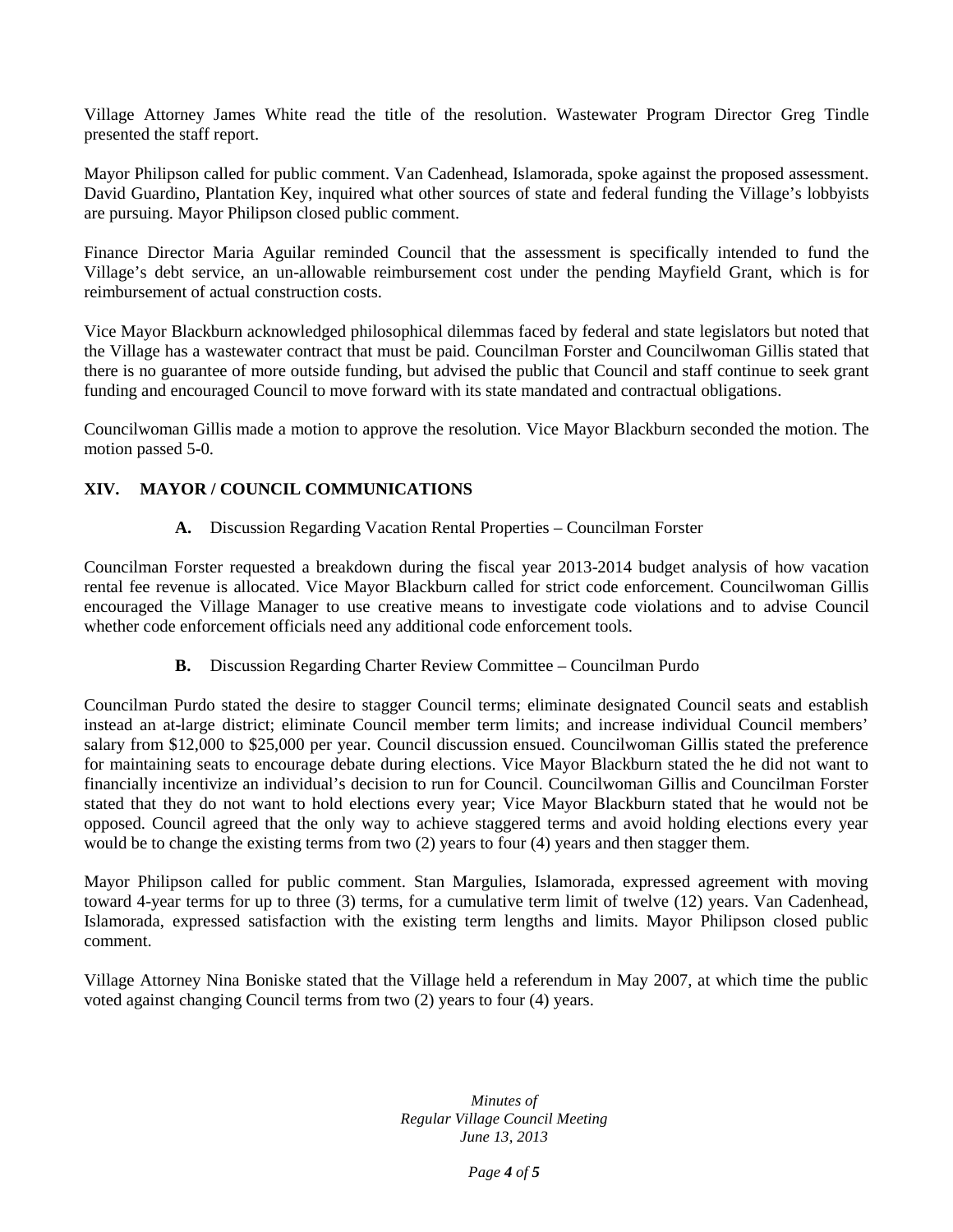Village Attorney James White read the title of the resolution. Wastewater Program Director Greg Tindle presented the staff report.

Mayor Philipson called for public comment. Van Cadenhead, Islamorada, spoke against the proposed assessment. David Guardino, Plantation Key, inquired what other sources of state and federal funding the Village's lobbyists are pursuing. Mayor Philipson closed public comment.

Finance Director Maria Aguilar reminded Council that the assessment is specifically intended to fund the Village's debt service, an un-allowable reimbursement cost under the pending Mayfield Grant, which is for reimbursement of actual construction costs.

Vice Mayor Blackburn acknowledged philosophical dilemmas faced by federal and state legislators but noted that the Village has a wastewater contract that must be paid. Councilman Forster and Councilwoman Gillis stated that there is no guarantee of more outside funding, but advised the public that Council and staff continue to seek grant funding and encouraged Council to move forward with its state mandated and contractual obligations.

Councilwoman Gillis made a motion to approve the resolution. Vice Mayor Blackburn seconded the motion. The motion passed 5-0.

### **XIV. MAYOR / COUNCIL COMMUNICATIONS**

**A.** Discussion Regarding Vacation Rental Properties – Councilman Forster

Councilman Forster requested a breakdown during the fiscal year 2013-2014 budget analysis of how vacation rental fee revenue is allocated. Vice Mayor Blackburn called for strict code enforcement. Councilwoman Gillis encouraged the Village Manager to use creative means to investigate code violations and to advise Council whether code enforcement officials need any additional code enforcement tools.

**B.** Discussion Regarding Charter Review Committee – Councilman Purdo

Councilman Purdo stated the desire to stagger Council terms; eliminate designated Council seats and establish instead an at-large district; eliminate Council member term limits; and increase individual Council members' salary from \$12,000 to \$25,000 per year. Council discussion ensued. Councilwoman Gillis stated the preference for maintaining seats to encourage debate during elections. Vice Mayor Blackburn stated the he did not want to financially incentivize an individual's decision to run for Council. Councilwoman Gillis and Councilman Forster stated that they do not want to hold elections every year; Vice Mayor Blackburn stated that he would not be opposed. Council agreed that the only way to achieve staggered terms and avoid holding elections every year would be to change the existing terms from two (2) years to four (4) years and then stagger them.

Mayor Philipson called for public comment. Stan Margulies, Islamorada, expressed agreement with moving toward 4-year terms for up to three (3) terms, for a cumulative term limit of twelve (12) years. Van Cadenhead, Islamorada, expressed satisfaction with the existing term lengths and limits. Mayor Philipson closed public comment.

Village Attorney Nina Boniske stated that the Village held a referendum in May 2007, at which time the public voted against changing Council terms from two (2) years to four (4) years.

> *Minutes of Regular Village Council Meeting June 13, 2013*